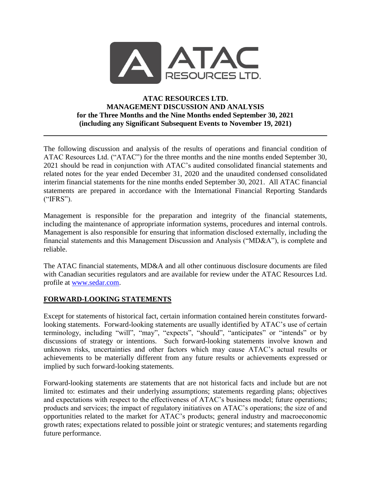

### **ATAC RESOURCES LTD. MANAGEMENT DISCUSSION AND ANALYSIS for the Three Months and the Nine Months ended September 30, 2021 (including any Significant Subsequent Events to November 19, 2021)**

The following discussion and analysis of the results of operations and financial condition of ATAC Resources Ltd. ("ATAC") for the three months and the nine months ended September 30, 2021 should be read in conjunction with ATAC's audited consolidated financial statements and related notes for the year ended December 31, 2020 and the unaudited condensed consolidated interim financial statements for the nine months ended September 30, 2021. All ATAC financial statements are prepared in accordance with the International Financial Reporting Standards ("IFRS").

Management is responsible for the preparation and integrity of the financial statements, including the maintenance of appropriate information systems, procedures and internal controls. Management is also responsible for ensuring that information disclosed externally, including the financial statements and this Management Discussion and Analysis ("MD&A"), is complete and reliable.

The ATAC financial statements, MD&A and all other continuous disclosure documents are filed with Canadian securities regulators and are available for review under the ATAC Resources Ltd. profile at [www.sedar.com.](http://www.sedar.com/)

## **FORWARD-LOOKING STATEMENTS**

Except for statements of historical fact, certain information contained herein constitutes forwardlooking statements. Forward-looking statements are usually identified by ATAC's use of certain terminology, including "will", "may", "expects", "should", "anticipates" or "intends" or by discussions of strategy or intentions. Such forward-looking statements involve known and unknown risks, uncertainties and other factors which may cause ATAC's actual results or achievements to be materially different from any future results or achievements expressed or implied by such forward-looking statements.

Forward-looking statements are statements that are not historical facts and include but are not limited to: estimates and their underlying assumptions; statements regarding plans; objectives and expectations with respect to the effectiveness of ATAC's business model; future operations; products and services; the impact of regulatory initiatives on ATAC's operations; the size of and opportunities related to the market for ATAC's products; general industry and macroeconomic growth rates; expectations related to possible joint or strategic ventures; and statements regarding future performance.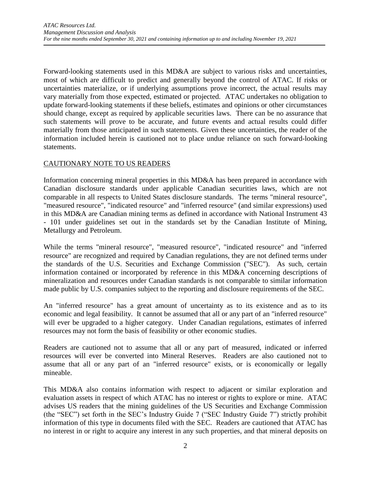Forward-looking statements used in this MD&A are subject to various risks and uncertainties, most of which are difficult to predict and generally beyond the control of ATAC. If risks or uncertainties materialize, or if underlying assumptions prove incorrect, the actual results may vary materially from those expected, estimated or projected. ATAC undertakes no obligation to update forward-looking statements if these beliefs, estimates and opinions or other circumstances should change, except as required by applicable securities laws. There can be no assurance that such statements will prove to be accurate, and future events and actual results could differ materially from those anticipated in such statements. Given these uncertainties, the reader of the information included herein is cautioned not to place undue reliance on such forward-looking statements.

#### CAUTIONARY NOTE TO US READERS

Information concerning mineral properties in this MD&A has been prepared in accordance with Canadian disclosure standards under applicable Canadian securities laws, which are not comparable in all respects to United States disclosure standards. The terms "mineral resource", "measured resource", "indicated resource" and "inferred resource" (and similar expressions) used in this MD&A are Canadian mining terms as defined in accordance with National Instrument 43 - 101 under guidelines set out in the standards set by the Canadian Institute of Mining, Metallurgy and Petroleum.

While the terms "mineral resource", "measured resource", "indicated resource" and "inferred resource" are recognized and required by Canadian regulations, they are not defined terms under the standards of the U.S. Securities and Exchange Commission ("SEC"). As such, certain information contained or incorporated by reference in this MD&A concerning descriptions of mineralization and resources under Canadian standards is not comparable to similar information made public by U.S. companies subject to the reporting and disclosure requirements of the SEC.

An "inferred resource" has a great amount of uncertainty as to its existence and as to its economic and legal feasibility. It cannot be assumed that all or any part of an "inferred resource" will ever be upgraded to a higher category. Under Canadian regulations, estimates of inferred resources may not form the basis of feasibility or other economic studies.

Readers are cautioned not to assume that all or any part of measured, indicated or inferred resources will ever be converted into Mineral Reserves. Readers are also cautioned not to assume that all or any part of an "inferred resource" exists, or is economically or legally mineable.

This MD&A also contains information with respect to adjacent or similar exploration and evaluation assets in respect of which ATAC has no interest or rights to explore or mine. ATAC advises US readers that the mining guidelines of the US Securities and Exchange Commission (the "SEC") set forth in the SEC's Industry Guide 7 ("SEC Industry Guide 7") strictly prohibit information of this type in documents filed with the SEC. Readers are cautioned that ATAC has no interest in or right to acquire any interest in any such properties, and that mineral deposits on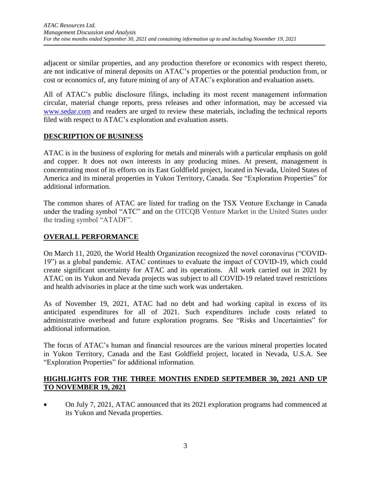adjacent or similar properties, and any production therefore or economics with respect thereto, are not indicative of mineral deposits on ATAC's properties or the potential production from, or cost or economics of, any future mining of any of ATAC's exploration and evaluation assets.

All of ATAC's public disclosure filings, including its most recent management information circular, material change reports, press releases and other information, may be accessed via [www.sedar.com](http://www.sedar.com/) and readers are urged to review these materials, including the technical reports filed with respect to ATAC's exploration and evaluation assets.

# **DESCRIPTION OF BUSINESS**

ATAC is in the business of exploring for metals and minerals with a particular emphasis on gold and copper. It does not own interests in any producing mines. At present, management is concentrating most of its efforts on its East Goldfield project, located in Nevada, United States of America and its mineral properties in Yukon Territory, Canada. See "Exploration Properties" for additional information.

The common shares of ATAC are listed for trading on the TSX Venture Exchange in Canada under the trading symbol "ATC" and on the OTCQB Venture Market in the United States under the trading symbol "ATADF".

# **OVERALL PERFORMANCE**

On March 11, 2020, the World Health Organization recognized the novel coronavirus ("COVID-19") as a global pandemic. ATAC continues to evaluate the impact of COVID-19, which could create significant uncertainty for ATAC and its operations. All work carried out in 2021 by ATAC on its Yukon and Nevada projects was subject to all COVID-19 related travel restrictions and health advisories in place at the time such work was undertaken.

As of November 19, 2021, ATAC had no debt and had working capital in excess of its anticipated expenditures for all of 2021. Such expenditures include costs related to administrative overhead and future exploration programs. See "Risks and Uncertainties" for additional information.

The focus of ATAC's human and financial resources are the various mineral properties located in Yukon Territory, Canada and the East Goldfield project, located in Nevada, U.S.A. See "Exploration Properties" for additional information.

#### **HIGHLIGHTS FOR THE THREE MONTHS ENDED SEPTEMBER 30, 2021 AND UP TO NOVEMBER 19, 2021**

• On July 7, 2021, ATAC announced that its 2021 exploration programs had commenced at its Yukon and Nevada properties.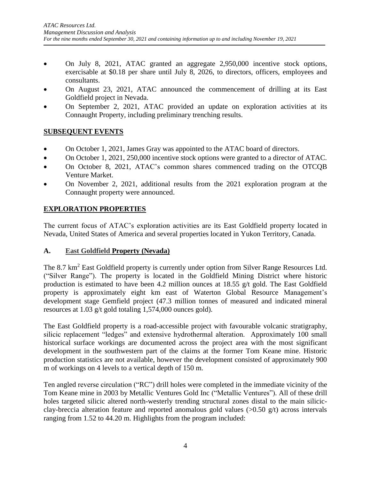- On July 8, 2021, ATAC granted an aggregate 2,950,000 incentive stock options, exercisable at \$0.18 per share until July 8, 2026, to directors, officers, employees and consultants.
- On August 23, 2021, ATAC announced the commencement of drilling at its East Goldfield project in Nevada.
- On September 2, 2021, ATAC provided an update on exploration activities at its Connaught Property, including preliminary trenching results.

# **SUBSEQUENT EVENTS**

- On October 1, 2021, James Gray was appointed to the ATAC board of directors.
- On October 1, 2021, 250,000 incentive stock options were granted to a director of ATAC.
- On October 8, 2021, ATAC's common shares commenced trading on the OTCOB Venture Market.
- On November 2, 2021, additional results from the 2021 exploration program at the Connaught property were announced.

# **EXPLORATION PROPERTIES**

The current focus of ATAC's exploration activities are its East Goldfield property located in Nevada, United States of America and several properties located in Yukon Territory, Canada.

## **A. East Goldfield Property (Nevada)**

The 8.7 km<sup>2</sup> East Goldfield property is currently under option from Silver Range Resources Ltd. ("Silver Range"). The property is located in the Goldfield Mining District where historic production is estimated to have been 4.2 million ounces at 18.55 g/t gold. The East Goldfield property is approximately eight km east of Waterton Global Resource Management's development stage Gemfield project (47.3 million tonnes of measured and indicated mineral resources at 1.03 g/t gold totaling 1,574,000 ounces gold).

The East Goldfield property is a road-accessible project with favourable volcanic stratigraphy, silicic replacement "ledges" and extensive hydrothermal alteration. Approximately 100 small historical surface workings are documented across the project area with the most significant development in the southwestern part of the claims at the former Tom Keane mine. Historic production statistics are not available, however the development consisted of approximately 900 m of workings on 4 levels to a vertical depth of 150 m.

Ten angled reverse circulation ("RC") drill holes were completed in the immediate vicinity of the Tom Keane mine in 2003 by Metallic Ventures Gold Inc ("Metallic Ventures"). All of these drill holes targeted silicic altered north-westerly trending structural zones distal to the main silicicclay-breccia alteration feature and reported anomalous gold values  $(>0.50 \text{ g/t})$  across intervals ranging from 1.52 to 44.20 m. Highlights from the program included: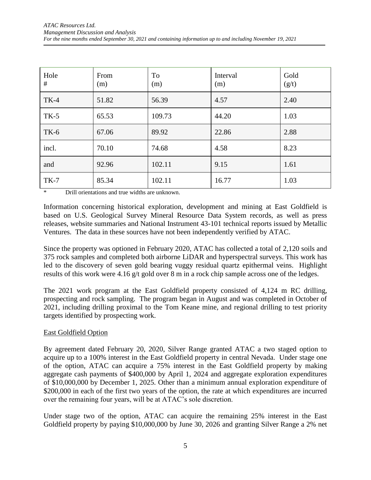| Hole<br># | From<br>(m) | <b>To</b><br>(m) | Interval<br>(m) | Gold<br>(g/t) |
|-----------|-------------|------------------|-----------------|---------------|
| $TK-4$    | 51.82       | 56.39            | 4.57            | 2.40          |
| $TK-5$    | 65.53       | 109.73           | 44.20           | 1.03          |
| $TK-6$    | 67.06       | 89.92            | 22.86           | 2.88          |
| incl.     | 70.10       | 74.68            | 4.58            | 8.23          |
| and       | 92.96       | 102.11           | 9.15            | 1.61          |
| $TK-7$    | 85.34       | 102.11           | 16.77           | 1.03          |

Drill orientations and true widths are unknown.

Information concerning historical exploration, development and mining at East Goldfield is based on U.S. Geological Survey Mineral Resource Data System records, as well as press releases, website summaries and National Instrument 43-101 technical reports issued by Metallic Ventures. The data in these sources have not been independently verified by ATAC.

Since the property was optioned in February 2020, ATAC has collected a total of 2,120 soils and 375 rock samples and completed both airborne LiDAR and hyperspectral surveys. This work has led to the discovery of seven gold bearing vuggy residual quartz epithermal veins. Highlight results of this work were 4.16 g/t gold over 8 m in a rock chip sample across one of the ledges.

The 2021 work program at the East Goldfield property consisted of 4,124 m RC drilling, prospecting and rock sampling. The program began in August and was completed in October of 2021, including drilling proximal to the Tom Keane mine, and regional drilling to test priority targets identified by prospecting work.

#### East Goldfield Option

By agreement dated February 20, 2020, Silver Range granted ATAC a two staged option to acquire up to a 100% interest in the East Goldfield property in central Nevada. Under stage one of the option, ATAC can acquire a 75% interest in the East Goldfield property by making aggregate cash payments of \$400,000 by April 1, 2024 and aggregate exploration expenditures of \$10,000,000 by December 1, 2025. Other than a minimum annual exploration expenditure of \$200,000 in each of the first two years of the option, the rate at which expenditures are incurred over the remaining four years, will be at ATAC's sole discretion.

Under stage two of the option, ATAC can acquire the remaining 25% interest in the East Goldfield property by paying \$10,000,000 by June 30, 2026 and granting Silver Range a 2% net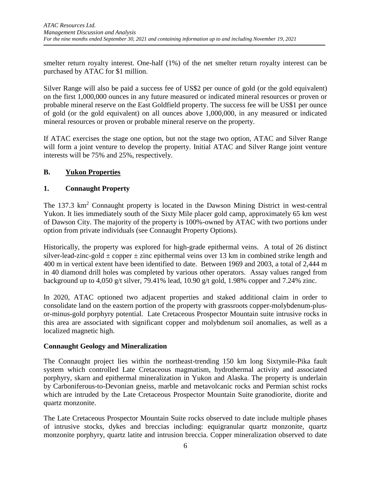smelter return royalty interest. One-half (1%) of the net smelter return royalty interest can be purchased by ATAC for \$1 million.

Silver Range will also be paid a success fee of US\$2 per ounce of gold (or the gold equivalent) on the first 1,000,000 ounces in any future measured or indicated mineral resources or proven or probable mineral reserve on the East Goldfield property. The success fee will be US\$1 per ounce of gold (or the gold equivalent) on all ounces above 1,000,000, in any measured or indicated mineral resources or proven or probable mineral reserve on the property.

If ATAC exercises the stage one option, but not the stage two option, ATAC and Silver Range will form a joint venture to develop the property. Initial ATAC and Silver Range joint venture interests will be 75% and 25%, respectively.

# **B. Yukon Properties**

# **1. Connaught Property**

The 137.3 km<sup>2</sup> Connaught property is located in the Dawson Mining District in west-central Yukon. It lies immediately south of the Sixty Mile placer gold camp, approximately 65 km west of Dawson City. The majority of the property is 100%-owned by ATAC with two portions under option from private individuals (see Connaught Property Options).

Historically, the property was explored for high-grade epithermal veins. A total of 26 distinct silver-lead-zinc-gold  $\pm$  copper  $\pm$  zinc epithermal veins over 13 km in combined strike length and 400 m in vertical extent have been identified to date. Between 1969 and 2003, a total of 2,444 m in 40 diamond drill holes was completed by various other operators. Assay values ranged from background up to 4,050 g/t silver, 79.41% lead, 10.90 g/t gold, 1.98% copper and 7.24% zinc.

In 2020, ATAC optioned two adjacent properties and staked additional claim in order to consolidate land on the eastern portion of the property with grassroots copper-molybdenum-plusor-minus-gold porphyry potential. Late Cretaceous Prospector Mountain suite intrusive rocks in this area are associated with significant copper and molybdenum soil anomalies, as well as a localized magnetic high.

## **Connaught Geology and Mineralization**

The Connaught project lies within the northeast-trending 150 km long Sixtymile-Pika fault system which controlled Late Cretaceous magmatism, hydrothermal activity and associated porphyry, skarn and epithermal mineralization in Yukon and Alaska. The property is underlain by Carboniferous-to-Devonian gneiss, marble and metavolcanic rocks and Permian schist rocks which are intruded by the Late Cretaceous Prospector Mountain Suite granodiorite, diorite and quartz monzonite.

The Late Cretaceous Prospector Mountain Suite rocks observed to date include multiple phases of intrusive stocks, dykes and breccias including: equigranular quartz monzonite, quartz monzonite porphyry, quartz latite and intrusion breccia. Copper mineralization observed to date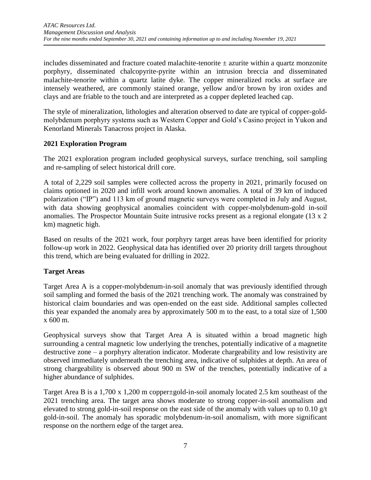includes disseminated and fracture coated malachite-tenorite  $\pm$  azurite within a quartz monzonite porphyry, disseminated chalcopyrite-pyrite within an intrusion breccia and disseminated malachite-tenorite within a quartz latite dyke. The copper mineralized rocks at surface are intensely weathered, are commonly stained orange, yellow and/or brown by iron oxides and clays and are friable to the touch and are interpreted as a copper depleted leached cap.

The style of mineralization, lithologies and alteration observed to date are typical of copper-goldmolybdenum porphyry systems such as Western Copper and Gold's Casino project in Yukon and Kenorland Minerals Tanacross project in Alaska.

# **2021 Exploration Program**

The 2021 exploration program included geophysical surveys, surface trenching, soil sampling and re-sampling of select historical drill core.

A total of 2,229 soil samples were collected across the property in 2021, primarily focused on claims optioned in 2020 and infill work around known anomalies. A total of 39 km of induced polarization ("IP") and 113 km of ground magnetic surveys were completed in July and August, with data showing geophysical anomalies coincident with copper-molybdenum-gold in-soil anomalies. The Prospector Mountain Suite intrusive rocks present as a regional elongate (13 x 2 km) magnetic high.

Based on results of the 2021 work, four porphyry target areas have been identified for priority follow-up work in 2022. Geophysical data has identified over 20 priority drill targets throughout this trend, which are being evaluated for drilling in 2022.

# **Target Areas**

Target Area A is a copper-molybdenum-in-soil anomaly that was previously identified through soil sampling and formed the basis of the 2021 trenching work. The anomaly was constrained by historical claim boundaries and was open-ended on the east side. Additional samples collected this year expanded the anomaly area by approximately 500 m to the east, to a total size of 1,500 x 600 m.

Geophysical surveys show that Target Area A is situated within a broad magnetic high surrounding a central magnetic low underlying the trenches, potentially indicative of a magnetite destructive zone – a porphyry alteration indicator. Moderate chargeability and low resistivity are observed immediately underneath the trenching area, indicative of sulphides at depth. An area of strong chargeability is observed about 900 m SW of the trenches, potentially indicative of a higher abundance of sulphides.

Target Area B is a 1,700 x 1,200 m copper±gold-in-soil anomaly located 2.5 km southeast of the 2021 trenching area. The target area shows moderate to strong copper-in-soil anomalism and elevated to strong gold-in-soil response on the east side of the anomaly with values up to 0.10 g/t gold-in-soil. The anomaly has sporadic molybdenum-in-soil anomalism, with more significant response on the northern edge of the target area.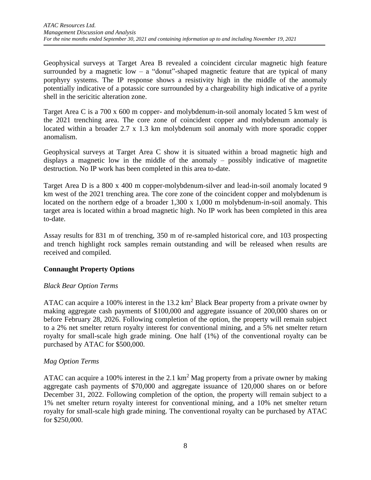Geophysical surveys at Target Area B revealed a coincident circular magnetic high feature surrounded by a magnetic low – a "donut"-shaped magnetic feature that are typical of many porphyry systems. The IP response shows a resistivity high in the middle of the anomaly potentially indicative of a potassic core surrounded by a chargeability high indicative of a pyrite shell in the sericitic alteration zone.

Target Area C is a 700 x 600 m copper- and molybdenum-in-soil anomaly located 5 km west of the 2021 trenching area. The core zone of coincident copper and molybdenum anomaly is located within a broader 2.7 x 1.3 km molybdenum soil anomaly with more sporadic copper anomalism.

Geophysical surveys at Target Area C show it is situated within a broad magnetic high and displays a magnetic low in the middle of the anomaly – possibly indicative of magnetite destruction. No IP work has been completed in this area to-date.

Target Area D is a 800 x 400 m copper-molybdenum-silver and lead-in-soil anomaly located 9 km west of the 2021 trenching area. The core zone of the coincident copper and molybdenum is located on the northern edge of a broader 1,300 x 1,000 m molybdenum-in-soil anomaly. This target area is located within a broad magnetic high. No IP work has been completed in this area to-date.

Assay results for 831 m of trenching, 350 m of re-sampled historical core, and 103 prospecting and trench highlight rock samples remain outstanding and will be released when results are received and compiled.

## **Connaught Property Options**

## *Black Bear Option Terms*

ATAC can acquire a 100% interest in the  $13.2 \text{ km}^2$  Black Bear property from a private owner by making aggregate cash payments of \$100,000 and aggregate issuance of 200,000 shares on or before February 28, 2026. Following completion of the option, the property will remain subject to a 2% net smelter return royalty interest for conventional mining, and a 5% net smelter return royalty for small-scale high grade mining. One half (1%) of the conventional royalty can be purchased by ATAC for \$500,000.

## *Mag Option Terms*

ATAC can acquire a 100% interest in the 2.1  $km^2$  Mag property from a private owner by making aggregate cash payments of \$70,000 and aggregate issuance of 120,000 shares on or before December 31, 2022. Following completion of the option, the property will remain subject to a 1% net smelter return royalty interest for conventional mining, and a 10% net smelter return royalty for small-scale high grade mining. The conventional royalty can be purchased by ATAC for \$250,000.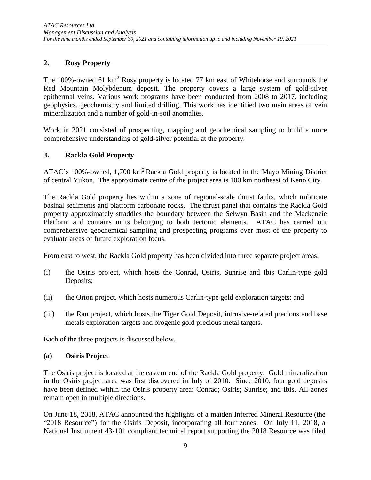# **2. Rosy Property**

The 100%-owned 61 km<sup>2</sup> Rosy property is located 77 km east of Whitehorse and surrounds the Red Mountain Molybdenum deposit. The property covers a large system of gold-silver epithermal veins. Various work programs have been conducted from 2008 to 2017, including geophysics, geochemistry and limited drilling. This work has identified two main areas of vein mineralization and a number of gold-in-soil anomalies.

Work in 2021 consisted of prospecting, mapping and geochemical sampling to build a more comprehensive understanding of gold-silver potential at the property.

## **3. Rackla Gold Property**

ATAC's 100%-owned, 1,700 km<sup>2</sup> Rackla Gold property is located in the Mayo Mining District of central Yukon. The approximate centre of the project area is 100 km northeast of Keno City.

The Rackla Gold property lies within a zone of regional-scale thrust faults, which imbricate basinal sediments and platform carbonate rocks. The thrust panel that contains the Rackla Gold property approximately straddles the boundary between the Selwyn Basin and the Mackenzie Platform and contains units belonging to both tectonic elements. ATAC has carried out comprehensive geochemical sampling and prospecting programs over most of the property to evaluate areas of future exploration focus.

From east to west, the Rackla Gold property has been divided into three separate project areas:

- (i) the Osiris project, which hosts the Conrad, Osiris, Sunrise and Ibis Carlin-type gold Deposits;
- (ii) the Orion project, which hosts numerous Carlin-type gold exploration targets; and
- (iii) the Rau project, which hosts the Tiger Gold Deposit, intrusive-related precious and base metals exploration targets and orogenic gold precious metal targets.

Each of the three projects is discussed below.

## **(a) Osiris Project**

The Osiris project is located at the eastern end of the Rackla Gold property. Gold mineralization in the Osiris project area was first discovered in July of 2010. Since 2010, four gold deposits have been defined within the Osiris property area: Conrad; Osiris; Sunrise; and Ibis. All zones remain open in multiple directions.

On June 18, 2018, ATAC announced the highlights of a maiden Inferred Mineral Resource (the "2018 Resource") for the Osiris Deposit, incorporating all four zones. On July 11, 2018, a National Instrument 43-101 compliant technical report supporting the 2018 Resource was filed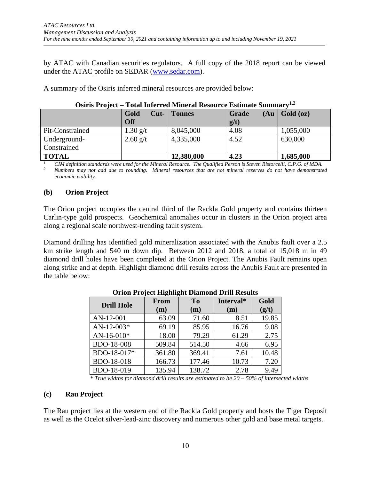by ATAC with Canadian securities regulators. A full copy of the 2018 report can be viewed under the ATAC profile on SEDAR [\(www.sedar.com\)](http://www.sedar.com/).

A summary of the Osiris inferred mineral resources are provided below:

|                 | 1 own miles i en fillier mi trebourt ee mbellinge buminimi |               |                       |           |
|-----------------|------------------------------------------------------------|---------------|-----------------------|-----------|
|                 | Gold<br>$Cut-$<br><b>Off</b>                               | <b>Tonnes</b> | Grade<br>(Au)<br>g/t) | Gold (oz) |
| Pit-Constrained | $1.30 \text{ g/t}$                                         | 8,045,000     | 4.08                  | 1,055,000 |
| Underground-    | $2.60$ g/t                                                 | 4,335,000     | 4.52                  | 630,000   |
| Constrained     |                                                            |               |                       |           |
| <b>TOTAL</b>    |                                                            | 12,380,000    | 4.23                  | 1,685,000 |

*<sup>1</sup> CIM definition standards were used for the Mineral Resource. The Qualified Person is Steven Ristorcelli, C.P.G. of MDA. <sup>2</sup> Numbers may not add due to rounding. Mineral resources that are not mineral reserves do not have demonstrated economic viability.* 

## **(b) Orion Project**

The Orion project occupies the central third of the Rackla Gold property and contains thirteen Carlin-type gold prospects. Geochemical anomalies occur in clusters in the Orion project area along a regional scale northwest-trending fault system.

Diamond drilling has identified gold mineralization associated with the Anubis fault over a 2.5 km strike length and 540 m down dip. Between 2012 and 2018, a total of 15,018 m in 49 diamond drill holes have been completed at the Orion Project. The Anubis Fault remains open along strike and at depth. Highlight diamond drill results across the Anubis Fault are presented in the table below:

|                   | -           |                       |                  |               |  |
|-------------------|-------------|-----------------------|------------------|---------------|--|
| <b>Drill Hole</b> | From<br>(m) | T <sub>0</sub><br>(m) | Interval*<br>(m) | Gold<br>(g/t) |  |
|                   |             |                       |                  |               |  |
| AN-12-001         | 63.09       | 71.60                 | 8.51             | 19.85         |  |
| $AN-12-003*$      | 69.19       | 85.95                 | 16.76            | 9.08          |  |
| $AN-16-010*$      | 18.00       | 79.29                 | 61.29            | 2.75          |  |
| <b>BDO-18-008</b> | 509.84      | 514.50                | 4.66             | 6.95          |  |
| BDO-18-017*       | 361.80      | 369.41                | 7.61             | 10.48         |  |
| BDO-18-018        | 166.73      | 177.46                | 10.73            | 7.20          |  |
| BDO-18-019        | 135.94      | 138.72                | 2.78             | 9.49          |  |

**Orion Project Highlight Diamond Drill Results**

*\* True widths for diamond drill results are estimated to be 20 – 50% of intersected widths.*

#### **(c) Rau Project**

The [Rau project](http://www.atacresources.com/projects/rackla/rau-trend) lies at the western end of the Rackla Gold property and hosts the Tiger Deposit as well as the Ocelot silver-lead-zinc discovery and numerous other gold and base metal targets.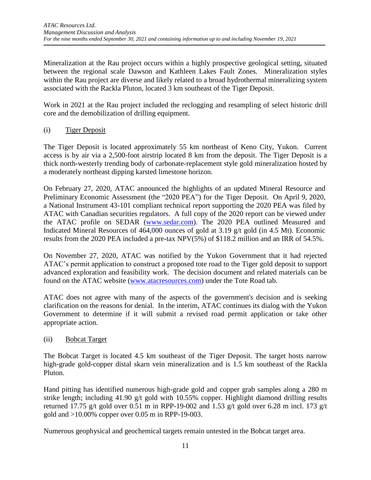Mineralization at the Rau project occurs within a highly prospective geological setting, situated between the regional scale Dawson and Kathleen Lakes Fault Zones. Mineralization styles within the Rau project are diverse and likely related to a broad hydrothermal mineralizing system associated with the Rackla Pluton, located 3 km southeast of the Tiger Deposit.

Work in 2021 at the Rau project included the reclogging and resampling of select historic drill core and the demobilization of drilling equipment.

# (i) Tiger Deposit

The Tiger Deposit is located approximately 55 km northeast of Keno City, Yukon. Current access is by air via a 2,500-foot airstrip located 8 km from the deposit. The Tiger Deposit is a thick north-westerly trending body of carbonate-replacement style gold mineralization hosted by a moderately northeast dipping karsted limestone horizon.

On February 27, 2020, ATAC announced the highlights of an updated Mineral Resource and Preliminary Economic Assessment (the "2020 PEA") for the Tiger Deposit. On April 9, 2020, a National Instrument 43-101 compliant technical report supporting the 2020 PEA was filed by ATAC with Canadian securities regulators. A full copy of the 2020 report can be viewed under the ATAC profile on SEDAR [\(www.sedar.com\)](http://www.sedar.com/). The 2020 PEA outlined Measured and Indicated Mineral Resources of 464,000 ounces of gold at 3.19 g/t gold (in 4.5 Mt). Economic results from the 2020 PEA included a pre-tax NPV(5%) of \$118.2 million and an IRR of 54.5%.

On November 27, 2020, ATAC was notified by the Yukon Government that it had rejected ATAC's permit application to construct a proposed tote road to the Tiger gold deposit to support advanced exploration and feasibility work. The decision document and related materials can be found on the ATAC website [\(www.atacresources.com\)](http://www.atacresources.com/) under the Tote Road tab.

ATAC does not agree with many of the aspects of the government's decision and is seeking clarification on the reasons for denial. In the interim, ATAC continues its dialog with the Yukon Government to determine if it will submit a revised road permit application or take other appropriate action.

## (ii) Bobcat Target

The Bobcat Target is located 4.5 km southeast of the Tiger Deposit. The target hosts narrow high-grade gold-copper distal skarn vein mineralization and is 1.5 km southeast of the Rackla Pluton.

Hand pitting has identified numerous high-grade gold and copper grab samples along a 280 m strike length; including 41.90 g/t gold with 10.55% copper. Highlight diamond drilling results returned 17.75 g/t gold over 0.51 m in RPP-19-002 and 1.53 g/t gold over 6.28 m incl. 173 g/t gold and >10.00% copper over 0.05 m in RPP-19-003.

Numerous geophysical and geochemical targets remain untested in the Bobcat target area.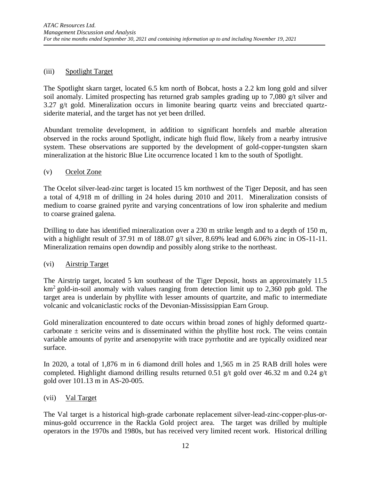### (iii) Spotlight Target

The Spotlight skarn target, located 6.5 km north of Bobcat, hosts a 2.2 km long gold and silver soil anomaly. Limited prospecting has returned grab samples grading up to 7,080 g/t silver and 3.27 g/t gold. Mineralization occurs in limonite bearing quartz veins and brecciated quartzsiderite material, and the target has not yet been drilled.

Abundant tremolite development, in addition to significant hornfels and marble alteration observed in the rocks around Spotlight, indicate high fluid flow, likely from a nearby intrusive system. These observations are supported by the development of gold-copper-tungsten skarn mineralization at the historic Blue Lite occurrence located 1 km to the south of Spotlight.

#### (v) Ocelot Zone

The Ocelot silver-lead-zinc target is located 15 km northwest of the Tiger Deposit, and has seen a total of 4,918 m of drilling in 24 holes during 2010 and 2011. Mineralization consists of medium to coarse grained pyrite and varying concentrations of low iron sphalerite and medium to coarse grained galena.

Drilling to date has identified mineralization over a 230 m strike length and to a depth of 150 m, with a highlight result of 37.91 m of 188.07 g/t silver, 8.69% lead and 6.06% zinc in OS-11-11. Mineralization remains open downdip and possibly along strike to the northeast.

#### (vi) Airstrip Target

The Airstrip target, located 5 km southeast of the Tiger Deposit, hosts an approximately 11.5  $km^2$  gold-in-soil anomaly with values ranging from detection limit up to 2,360 ppb gold. The target area is underlain by phyllite with lesser amounts of quartzite, and mafic to intermediate volcanic and volcaniclastic rocks of the Devonian-Mississippian Earn Group.

Gold mineralization encountered to date occurs within broad zones of highly deformed quartzcarbonate  $\pm$  sericite veins and is disseminated within the phyllite host rock. The veins contain variable amounts of pyrite and arsenopyrite with trace pyrrhotite and are typically oxidized near surface.

In 2020, a total of 1,876 m in 6 diamond drill holes and 1,565 m in 25 RAB drill holes were completed. Highlight diamond drilling results returned 0.51 g/t gold over 46.32 m and 0.24 g/t gold over 101.13 m in AS-20-005.

#### (vii) Val Target

The Val target is a historical high-grade carbonate replacement silver-lead-zinc-copper-plus-orminus-gold occurrence in the Rackla Gold project area. The target was drilled by multiple operators in the 1970s and 1980s, but has received very limited recent work. Historical drilling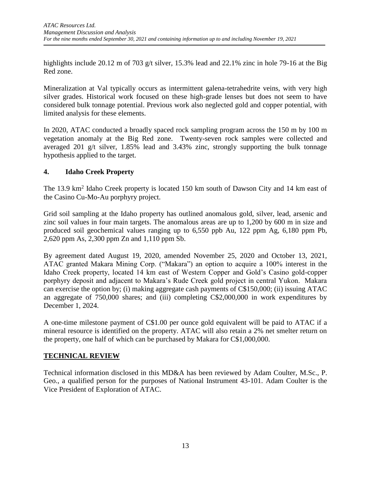highlights include 20.12 m of 703 g/t silver, 15.3% lead and 22.1% zinc in hole 79-16 at the Big Red zone.

Mineralization at Val typically occurs as intermittent galena-tetrahedrite veins, with very high silver grades. Historical work focused on these high-grade lenses but does not seem to have considered bulk tonnage potential. Previous work also neglected gold and copper potential, with limited analysis for these elements.

In 2020, ATAC conducted a broadly spaced rock sampling program across the 150 m by 100 m vegetation anomaly at the Big Red zone. Twenty-seven rock samples were collected and averaged 201 g/t silver, 1.85% lead and 3.43% zinc, strongly supporting the bulk tonnage hypothesis applied to the target.

# **4. Idaho Creek Property**

The 13.9 km<sup>2</sup> Idaho Creek property is located 150 km south of Dawson City and 14 km east of the Casino Cu-Mo-Au porphyry project.

Grid soil sampling at the Idaho property has outlined anomalous gold, silver, lead, arsenic and zinc soil values in four main targets. The anomalous areas are up to 1,200 by 600 m in size and produced soil geochemical values ranging up to 6,550 ppb Au, 122 ppm Ag, 6,180 ppm Pb, 2,620 ppm As, 2,300 ppm Zn and 1,110 ppm Sb.

By agreement dated August 19, 2020, amended November 25, 2020 and October 13, 2021, ATAC granted Makara Mining Corp. ("Makara") an option to acquire a 100% interest in the Idaho Creek property, located 14 km east of Western Copper and Gold's Casino gold-copper porphyry deposit and adjacent to Makara's Rude Creek gold project in central Yukon. Makara can exercise the option by; (i) making aggregate cash payments of C\$150,000; (ii) issuing ATAC an aggregate of 750,000 shares; and (iii) completing C\$2,000,000 in work expenditures by December 1, 2024.

A one-time milestone payment of C\$1.00 per ounce gold equivalent will be paid to ATAC if a mineral resource is identified on the property. ATAC will also retain a 2% net smelter return on the property, one half of which can be purchased by Makara for C\$1,000,000.

# **TECHNICAL REVIEW**

Technical information disclosed in this MD&A has been reviewed by Adam Coulter, M.Sc., P. Geo., a qualified person for the purposes of National Instrument 43-101. Adam Coulter is the Vice President of Exploration of ATAC.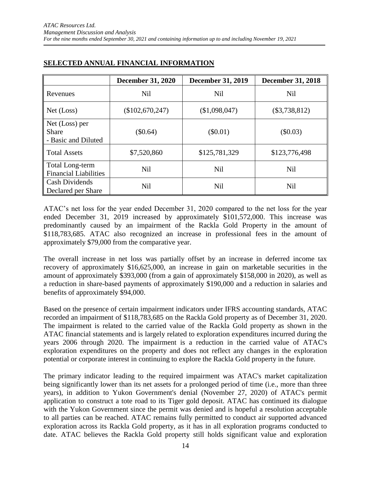|                                                       | <b>December 31, 2020</b> | <b>December 31, 2019</b> | <b>December 31, 2018</b> |
|-------------------------------------------------------|--------------------------|--------------------------|--------------------------|
| Revenues                                              | <b>Nil</b>               | <b>Nil</b>               | <b>Nil</b>               |
| Net (Loss)                                            | (\$102,670,247)          | (\$1,098,047)            | $(\$3,738,812)$          |
| Net (Loss) per<br><b>Share</b><br>- Basic and Diluted | $(\$0.64)$               | $(\$0.01)$               | $(\$0.03)$               |
| <b>Total Assets</b>                                   | \$7,520,860              | \$125,781,329            | \$123,776,498            |
| Total Long-term<br><b>Financial Liabilities</b>       | <b>Nil</b>               | <b>Nil</b>               | <b>Nil</b>               |
| <b>Cash Dividends</b><br>Declared per Share           | <b>Nil</b>               | Nil                      | Nil                      |

# **SELECTED ANNUAL FINANCIAL INFORMATION**

ATAC's net loss for the year ended December 31, 2020 compared to the net loss for the year ended December 31, 2019 increased by approximately \$101,572,000. This increase was predominantly caused by an impairment of the Rackla Gold Property in the amount of \$118,783,685. ATAC also recognized an increase in professional fees in the amount of approximately \$79,000 from the comparative year.

The overall increase in net loss was partially offset by an increase in deferred income tax recovery of approximately \$16,625,000, an increase in gain on marketable securities in the amount of approximately \$393,000 (from a gain of approximately \$158,000 in 2020), as well as a reduction in share-based payments of approximately \$190,000 and a reduction in salaries and benefits of approximately \$94,000.

Based on the presence of certain impairment indicators under IFRS accounting standards, ATAC recorded an impairment of \$118,783,685 on the Rackla Gold property as of December 31, 2020. The impairment is related to the carried value of the Rackla Gold property as shown in the ATAC financial statements and is largely related to exploration expenditures incurred during the years 2006 through 2020. The impairment is a reduction in the carried value of ATAC's exploration expenditures on the property and does not reflect any changes in the exploration potential or corporate interest in continuing to explore the Rackla Gold property in the future.

The primary indicator leading to the required impairment was ATAC's market capitalization being significantly lower than its net assets for a prolonged period of time (i.e., more than three years), in addition to Yukon Government's denial (November 27, 2020) of ATAC's permit application to construct a tote road to its Tiger gold deposit. ATAC has continued its dialogue with the Yukon Government since the permit was denied and is hopeful a resolution acceptable to all parties can be reached. ATAC remains fully permitted to conduct air supported advanced exploration across its Rackla Gold property, as it has in all exploration programs conducted to date. ATAC believes the Rackla Gold property still holds significant value and exploration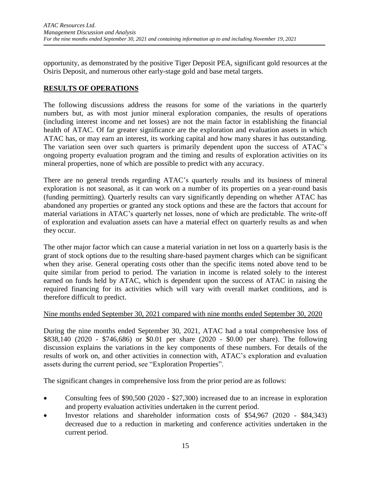opportunity, as demonstrated by the positive Tiger Deposit PEA, significant gold resources at the Osiris Deposit, and numerous other early-stage gold and base metal targets.

## **RESULTS OF OPERATIONS**

The following discussions address the reasons for some of the variations in the quarterly numbers but, as with most junior mineral exploration companies, the results of operations (including interest income and net losses) are not the main factor in establishing the financial health of ATAC. Of far greater significance are the exploration and evaluation assets in which ATAC has, or may earn an interest, its working capital and how many shares it has outstanding. The variation seen over such quarters is primarily dependent upon the success of ATAC's ongoing property evaluation program and the timing and results of exploration activities on its mineral properties, none of which are possible to predict with any accuracy.

There are no general trends regarding ATAC's quarterly results and its business of mineral exploration is not seasonal, as it can work on a number of its properties on a year-round basis (funding permitting). Quarterly results can vary significantly depending on whether ATAC has abandoned any properties or granted any stock options and these are the factors that account for material variations in ATAC's quarterly net losses, none of which are predictable. The write-off of exploration and evaluation assets can have a material effect on quarterly results as and when they occur.

The other major factor which can cause a material variation in net loss on a quarterly basis is the grant of stock options due to the resulting share-based payment charges which can be significant when they arise. General operating costs other than the specific items noted above tend to be quite similar from period to period. The variation in income is related solely to the interest earned on funds held by ATAC, which is dependent upon the success of ATAC in raising the required financing for its activities which will vary with overall market conditions, and is therefore difficult to predict.

## Nine months ended September 30, 2021 compared with nine months ended September 30, 2020

During the nine months ended September 30, 2021, ATAC had a total comprehensive loss of \$838,140 (2020 - \$746,686) or \$0.01 per share (2020 - \$0.00 per share). The following discussion explains the variations in the key components of these numbers. For details of the results of work on, and other activities in connection with, ATAC's exploration and evaluation assets during the current period, see "Exploration Properties".

The significant changes in comprehensive loss from the prior period are as follows:

- Consulting fees of \$90,500 (2020 \$27,300) increased due to an increase in exploration and property evaluation activities undertaken in the current period.
- Investor relations and shareholder information costs of \$54,967 (2020 \$84,343) decreased due to a reduction in marketing and conference activities undertaken in the current period.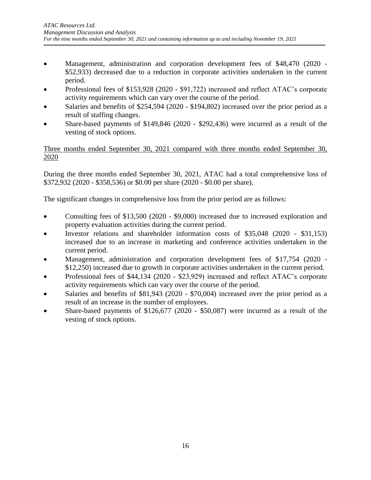- Management, administration and corporation development fees of \$48,470 (2020 -\$52,933) decreased due to a reduction in corporate activities undertaken in the current period.
- Professional fees of \$153,928 (2020 \$91,722) increased and reflect ATAC's corporate activity requirements which can vary over the course of the period.
- Salaries and benefits of \$254,594 (2020 \$194,802) increased over the prior period as a result of staffing changes.
- Share-based payments of  $$149,846$  (2020  $$292,436$ ) were incurred as a result of the vesting of stock options.

Three months ended September 30, 2021 compared with three months ended September 30, 2020

During the three months ended September 30, 2021, ATAC had a total comprehensive loss of \$372,932 (2020 - \$358,536) or \$0.00 per share (2020 - \$0.00 per share).

The significant changes in comprehensive loss from the prior period are as follows:

- Consulting fees of \$13,500 (2020 \$9,000) increased due to increased exploration and property evaluation activities during the current period.
- Investor relations and shareholder information costs of \$35,048 (2020 \$31,153) increased due to an increase in marketing and conference activities undertaken in the current period.
- Management, administration and corporation development fees of \$17,754 (2020 \$12,250) increased due to growth in corporate activities undertaken in the current period.
- Professional fees of \$44,134 (2020 \$23,929) increased and reflect ATAC's corporate activity requirements which can vary over the course of the period.
- Salaries and benefits of \$81,943 (2020 \$70,004) increased over the prior period as a result of an increase in the number of employees.
- Share-based payments of  $$126,677$  (2020 \$50,087) were incurred as a result of the vesting of stock options.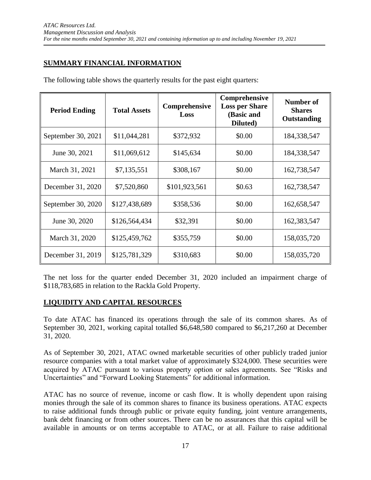# **SUMMARY FINANCIAL INFORMATION**

The following table shows the quarterly results for the past eight quarters:

| <b>Period Ending</b> | <b>Total Assets</b> | Comprehensive<br>Loss | <b>Comprehensive</b><br><b>Loss per Share</b><br>(Basic and<br>Diluted) | <b>Number of</b><br><b>Shares</b><br>Outstanding |
|----------------------|---------------------|-----------------------|-------------------------------------------------------------------------|--------------------------------------------------|
| September 30, 2021   | \$11,044,281        | \$372,932             | \$0.00                                                                  | 184,338,547                                      |
| June 30, 2021        | \$11,069,612        | \$145,634             | \$0.00                                                                  | 184,338,547                                      |
| March 31, 2021       | \$7,135,551         | \$308,167             | \$0.00                                                                  | 162,738,547                                      |
| December 31, 2020    | \$7,520,860         | \$101,923,561         | \$0.63                                                                  | 162,738,547                                      |
| September 30, 2020   | \$127,438,689       | \$358,536             | \$0.00                                                                  | 162,658,547                                      |
| June 30, 2020        | \$126,564,434       | \$32,391              | \$0.00                                                                  | 162,383,547                                      |
| March 31, 2020       | \$125,459,762       | \$355,759             | \$0.00                                                                  | 158,035,720                                      |
| December 31, 2019    | \$125,781,329       | \$310,683             | \$0.00                                                                  | 158,035,720                                      |

The net loss for the quarter ended December 31, 2020 included an impairment charge of \$118,783,685 in relation to the Rackla Gold Property.

#### **LIQUIDITY AND CAPITAL RESOURCES**

To date ATAC has financed its operations through the sale of its common shares. As of September 30, 2021, working capital totalled \$6,648,580 compared to \$6,217,260 at December 31, 2020.

As of September 30, 2021, ATAC owned marketable securities of other publicly traded junior resource companies with a total market value of approximately \$324,000. These securities were acquired by ATAC pursuant to various property option or sales agreements. See "Risks and Uncertainties" and "Forward Looking Statements" for additional information.

ATAC has no source of revenue, income or cash flow. It is wholly dependent upon raising monies through the sale of its common shares to finance its business operations. ATAC expects to raise additional funds through public or private equity funding, joint venture arrangements, bank debt financing or from other sources. There can be no assurances that this capital will be available in amounts or on terms acceptable to ATAC, or at all. Failure to raise additional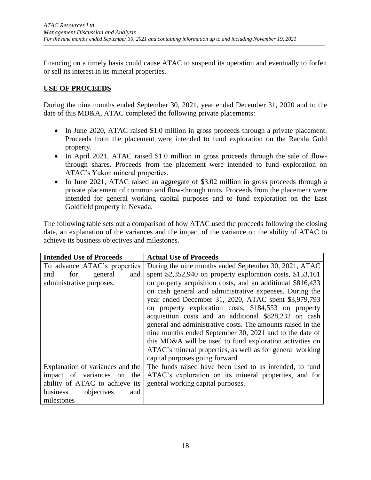financing on a timely basis could cause ATAC to suspend its operation and eventually to forfeit or sell its interest in its mineral properties.

# **USE OF PROCEEDS**

During the nine months ended September 30, 2021, year ended December 31, 2020 and to the date of this MD&A, ATAC completed the following private placements:

- In June 2020, ATAC raised \$1.0 million in gross proceeds through a private placement. Proceeds from the placement were intended to fund exploration on the Rackla Gold property.
- In April 2021, ATAC raised \$1.0 million in gross proceeds through the sale of flowthrough shares. Proceeds from the placement were intended to fund exploration on ATAC's Yukon mineral properties.
- In June 2021, ATAC raised an aggregate of \$3.02 million in gross proceeds through a private placement of common and flow-through units. Proceeds from the placement were intended for general working capital purposes and to fund exploration on the East Goldfield property in Nevada.

The following table sets out a comparison of how ATAC used the proceeds following the closing date, an explanation of the variances and the impact of the variance on the ability of ATAC to achieve its business objectives and milestones.

| <b>Intended Use of Proceeds</b>  | <b>Actual Use of Proceeds</b>                               |
|----------------------------------|-------------------------------------------------------------|
| To advance ATAC's properties     | During the nine months ended September 30, 2021, ATAC       |
| for<br>general<br>and<br>and     | spent \$2,352,940 on property exploration costs, \$153,161  |
| administrative purposes.         | on property acquisition costs, and an additional \$816,433  |
|                                  | on cash general and administrative expenses. During the     |
|                                  | year ended December 31, 2020, ATAC spent \$3,979,793        |
|                                  | on property exploration costs, \$184,553 on property        |
|                                  | acquisition costs and an additional \$828,232 on cash       |
|                                  | general and administrative costs. The amounts raised in the |
|                                  | nine months ended September 30, 2021 and to the date of     |
|                                  | this MD&A will be used to fund exploration activities on    |
|                                  | ATAC's mineral properties, as well as for general working   |
|                                  | capital purposes going forward.                             |
| Explanation of variances and the | The funds raised have been used to as intended, to fund     |
| impact of variances on the       | ATAC's exploration on its mineral properties, and for       |
| ability of ATAC to achieve its   | general working capital purposes.                           |
| business<br>objectives<br>and    |                                                             |
| milestones                       |                                                             |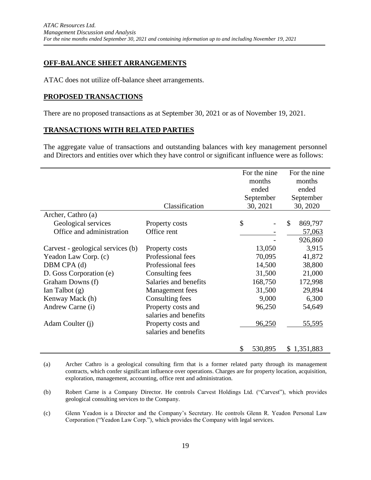## **OFF-BALANCE SHEET ARRANGEMENTS**

ATAC does not utilize off-balance sheet arrangements.

#### **PROPOSED TRANSACTIONS**

 $\blacksquare$ 

There are no proposed transactions as at September 30, 2021 or as of November 19, 2021.

#### **TRANSACTIONS WITH RELATED PARTIES**

The aggregate value of transactions and outstanding balances with key management personnel and Directors and entities over which they have control or significant influence were as follows:

|                                   |                       | For the nine     | For the nine             |
|-----------------------------------|-----------------------|------------------|--------------------------|
|                                   |                       | months<br>months |                          |
|                                   |                       | ended            | ended                    |
|                                   |                       | September        | September                |
|                                   | Classification        | 30, 2021         | 30, 2020                 |
| Archer, Cathro (a)                |                       |                  |                          |
| Geological services               | Property costs        | $\mathcal{S}$    | $\mathcal{S}$<br>869,797 |
| Office and administration         | Office rent           |                  | 57,063                   |
|                                   |                       |                  | 926,860                  |
| Carvest - geological services (b) | Property costs        | 13,050           | 3,915                    |
| Yeadon Law Corp. (c)              | Professional fees     | 70,095           | 41,872                   |
| DBM CPA (d)                       | Professional fees     | 14,500           | 38,800                   |
| D. Goss Corporation (e)           | Consulting fees       | 31,500           | 21,000                   |
| Graham Downs (f)                  | Salaries and benefits | 168,750          | 172,998                  |
| Ian Talbot $(g)$                  | Management fees       | 31,500           | 29,894                   |
| Kenway Mack (h)                   | Consulting fees       | 9,000            | 6,300                    |
| Andrew Carne (i)                  | Property costs and    | 96,250           | 54,649                   |
|                                   | salaries and benefits |                  |                          |
| Adam Coulter (j)                  | Property costs and    | 96,250           | <u>55,595</u>            |
|                                   | salaries and benefits |                  |                          |
|                                   |                       | \$<br>530,895    | \$1,351,883              |

<sup>(</sup>a) Archer Cathro is a geological consulting firm that is a former related party through its management contracts, which confer significant influence over operations. Charges are for property location, acquisition, exploration, management, accounting, office rent and administration.

(c) Glenn Yeadon is a Director and the Company's Secretary. He controls Glenn R. Yeadon Personal Law Corporation ("Yeadon Law Corp."), which provides the Company with legal services.

<sup>(</sup>b) Robert Carne is a Company Director. He controls Carvest Holdings Ltd. ("Carvest"), which provides geological consulting services to the Company.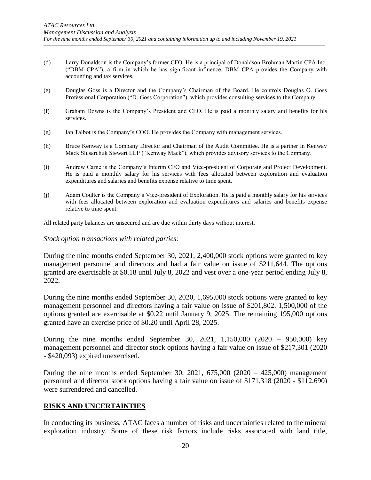- (d) Larry Donaldson is the Company's former CFO. He is a principal of Donaldson Brohman Martin CPA Inc. ("DBM CPA"), a firm in which he has significant influence. DBM CPA provides the Company with accounting and tax services.
- (e) Douglas Goss is a Director and the Company's Chairman of the Board. He controls Douglas O. Goss Professional Corporation ("D. Goss Corporation"), which provides consulting services to the Company.
- (f) Graham Downs is the Company's President and CEO. He is paid a monthly salary and benefits for his services.
- (g) Ian Talbot is the Company's COO. He provides the Company with management services.
- (h) Bruce Kenway is a Company Director and Chairman of the Audit Committee. He is a partner in Kenway Mack Slusarchuk Stewart LLP ("Kenway Mack"), which provides advisory services to the Company.
- (i) Andrew Carne is the Company's Interim CFO and Vice-president of Corporate and Project Development. He is paid a monthly salary for his services with fees allocated between exploration and evaluation expenditures and salaries and benefits expense relative to time spent.
- (j) Adam Coulter is the Company's Vice-president of Exploration. He is paid a monthly salary for his services with fees allocated between exploration and evaluation expenditures and salaries and benefits expense relative to time spent.

All related party balances are unsecured and are due within thirty days without interest.

#### *Stock option transactions with related parties:*

During the nine months ended September 30, 2021, 2,400,000 stock options were granted to key management personnel and directors and had a fair value on issue of \$211,644. The options granted are exercisable at \$0.18 until July 8, 2022 and vest over a one-year period ending July 8, 2022.

During the nine months ended September 30, 2020, 1,695,000 stock options were granted to key management personnel and directors having a fair value on issue of \$201,802. 1,500,000 of the options granted are exercisable at \$0.22 until January 9, 2025. The remaining 195,000 options granted have an exercise price of \$0.20 until April 28, 2025.

During the nine months ended September 30, 2021, 1,150,000 (2020 – 950,000) key management personnel and director stock options having a fair value on issue of \$217,301 (2020 - \$420,093) expired unexercised.

During the nine months ended September 30, 2021,  $675,000$  (2020 – 425,000) management personnel and director stock options having a fair value on issue of \$171,318 (2020 - \$112,690) were surrendered and cancelled.

#### **RISKS AND UNCERTAINTIES**

In conducting its business, ATAC faces a number of risks and uncertainties related to the mineral exploration industry. Some of these risk factors include risks associated with land title,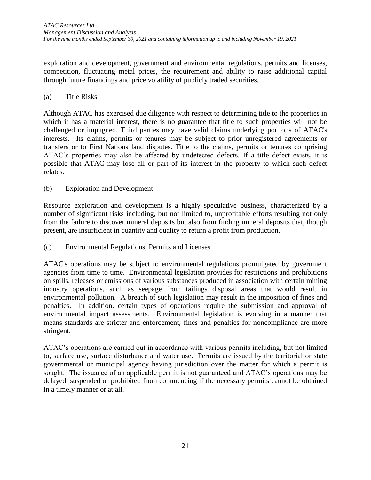exploration and development, government and environmental regulations, permits and licenses, competition, fluctuating metal prices, the requirement and ability to raise additional capital through future financings and price volatility of publicly traded securities.

### (a) Title Risks

Although ATAC has exercised due diligence with respect to determining title to the properties in which it has a material interest, there is no guarantee that title to such properties will not be challenged or impugned. Third parties may have valid claims underlying portions of ATAC's interests. Its claims, permits or tenures may be subject to prior unregistered agreements or transfers or to First Nations land disputes. Title to the claims, permits or tenures comprising ATAC's properties may also be affected by undetected defects. If a title defect exists, it is possible that ATAC may lose all or part of its interest in the property to which such defect relates.

#### (b) Exploration and Development

Resource exploration and development is a highly speculative business, characterized by a number of significant risks including, but not limited to, unprofitable efforts resulting not only from the failure to discover mineral deposits but also from finding mineral deposits that, though present, are insufficient in quantity and quality to return a profit from production.

## (c) Environmental Regulations, Permits and Licenses

ATAC's operations may be subject to environmental regulations promulgated by government agencies from time to time. Environmental legislation provides for restrictions and prohibitions on spills, releases or emissions of various substances produced in association with certain mining industry operations, such as seepage from tailings disposal areas that would result in environmental pollution. A breach of such legislation may result in the imposition of fines and penalties. In addition, certain types of operations require the submission and approval of environmental impact assessments. Environmental legislation is evolving in a manner that means standards are stricter and enforcement, fines and penalties for noncompliance are more stringent.

ATAC's operations are carried out in accordance with various permits including, but not limited to, surface use, surface disturbance and water use. Permits are issued by the territorial or state governmental or municipal agency having jurisdiction over the matter for which a permit is sought. The issuance of an applicable permit is not guaranteed and ATAC's operations may be delayed, suspended or prohibited from commencing if the necessary permits cannot be obtained in a timely manner or at all.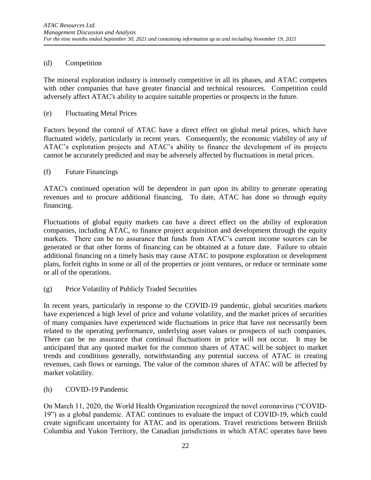### (d) Competition

The mineral exploration industry is intensely competitive in all its phases, and ATAC competes with other companies that have greater financial and technical resources. Competition could adversely affect ATAC's ability to acquire suitable properties or prospects in the future.

#### (e) Fluctuating Metal Prices

Factors beyond the control of ATAC have a direct effect on global metal prices, which have fluctuated widely, particularly in recent years. Consequently, the economic viability of any of ATAC's exploration projects and ATAC's ability to finance the development of its projects cannot be accurately predicted and may be adversely affected by fluctuations in metal prices.

#### (f) Future Financings

ATAC's continued operation will be dependent in part upon its ability to generate operating revenues and to procure additional financing. To date, ATAC has done so through equity financing.

Fluctuations of global equity markets can have a direct effect on the ability of exploration companies, including ATAC, to finance project acquisition and development through the equity markets. There can be no assurance that funds from ATAC's current income sources can be generated or that other forms of financing can be obtained at a future date. Failure to obtain additional financing on a timely basis may cause ATAC to postpone exploration or development plans, forfeit rights in some or all of the properties or joint ventures, or reduce or terminate some or all of the operations.

(g) Price Volatility of Publicly Traded Securities

In recent years, particularly in response to the COVID-19 pandemic, global securities markets have experienced a high level of price and volume volatility, and the market prices of securities of many companies have experienced wide fluctuations in price that have not necessarily been related to the operating performance, underlying asset values or prospects of such companies. There can be no assurance that continual fluctuations in price will not occur. It may be anticipated that any quoted market for the common shares of ATAC will be subject to market trends and conditions generally, notwithstanding any potential success of ATAC in creating revenues, cash flows or earnings. The value of the common shares of ATAC will be affected by market volatility.

(h) COVID-19 Pandemic

On March 11, 2020, the World Health Organization recognized the novel coronavirus ("COVID-19") as a global pandemic. ATAC continues to evaluate the impact of COVID-19, which could create significant uncertainty for ATAC and its operations. Travel restrictions between British Columbia and Yukon Territory, the Canadian jurisdictions in which ATAC operates have been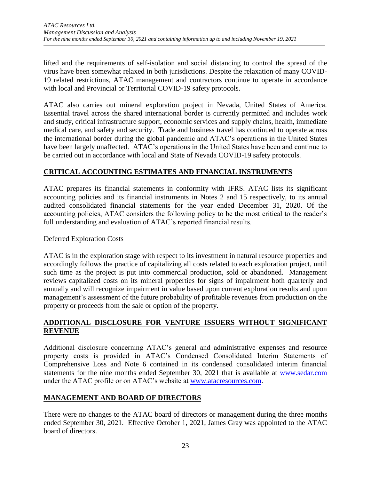lifted and the requirements of self-isolation and social distancing to control the spread of the virus have been somewhat relaxed in both jurisdictions. Despite the relaxation of many COVID-19 related restrictions, ATAC management and contractors continue to operate in accordance with local and Provincial or Territorial COVID-19 safety protocols.

ATAC also carries out mineral exploration project in Nevada, United States of America. Essential travel across the shared international border is currently permitted and includes work and study, critical infrastructure support, economic services and supply chains, health, immediate medical care, and safety and security. Trade and business travel has continued to operate across the international border during the global pandemic and ATAC's operations in the United States have been largely unaffected. ATAC's operations in the United States have been and continue to be carried out in accordance with local and State of Nevada COVID-19 safety protocols.

# **CRITICAL ACCOUNTING ESTIMATES AND FINANCIAL INSTRUMENTS**

ATAC prepares its financial statements in conformity with IFRS. ATAC lists its significant accounting policies and its financial instruments in Notes 2 and 15 respectively, to its annual audited consolidated financial statements for the year ended December 31, 2020. Of the accounting policies, ATAC considers the following policy to be the most critical to the reader's full understanding and evaluation of ATAC's reported financial results.

### Deferred Exploration Costs

ATAC is in the exploration stage with respect to its investment in natural resource properties and accordingly follows the practice of capitalizing all costs related to each exploration project, until such time as the project is put into commercial production, sold or abandoned. Management reviews capitalized costs on its mineral properties for signs of impairment both quarterly and annually and will recognize impairment in value based upon current exploration results and upon management's assessment of the future probability of profitable revenues from production on the property or proceeds from the sale or option of the property.

## **ADDITIONAL DISCLOSURE FOR VENTURE ISSUERS WITHOUT SIGNIFICANT REVENUE**

Additional disclosure concerning ATAC's general and administrative expenses and resource property costs is provided in ATAC's Condensed Consolidated Interim Statements of Comprehensive Loss and Note 6 contained in its condensed consolidated interim financial statements for the nine months ended September 30, 2021 that is available at [www.sedar.com](http://www.sedar.com/) under the ATAC profile or on ATAC's website at [www.atacresources.com.](http://www.atacresources.com/)

# **MANAGEMENT AND BOARD OF DIRECTORS**

There were no changes to the ATAC board of directors or management during the three months ended September 30, 2021. Effective October 1, 2021, James Gray was appointed to the ATAC board of directors.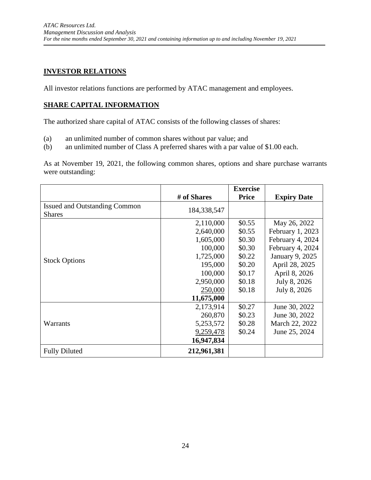# **INVESTOR RELATIONS**

All investor relations functions are performed by ATAC management and employees.

# **SHARE CAPITAL INFORMATION**

The authorized share capital of ATAC consists of the following classes of shares:

- (a) an unlimited number of common shares without par value; and
- (b) an unlimited number of Class A preferred shares with a par value of \$1.00 each.

As at November 19, 2021, the following common shares, options and share purchase warrants were outstanding:

|                                      |             | <b>Exercise</b> |                    |
|--------------------------------------|-------------|-----------------|--------------------|
|                                      | # of Shares | <b>Price</b>    | <b>Expiry Date</b> |
| <b>Issued and Outstanding Common</b> | 184,338,547 |                 |                    |
| <b>Shares</b>                        |             |                 |                    |
|                                      | 2,110,000   | \$0.55          | May 26, 2022       |
|                                      | 2,640,000   | \$0.55          | February 1, 2023   |
|                                      | 1,605,000   | \$0.30          | February 4, 2024   |
|                                      | 100,000     | \$0.30          | February 4, 2024   |
| <b>Stock Options</b>                 | 1,725,000   | \$0.22          | January 9, 2025    |
|                                      | 195,000     | \$0.20          | April 28, 2025     |
|                                      | 100,000     | \$0.17          | April 8, 2026      |
|                                      | 2,950,000   | \$0.18          | July 8, 2026       |
|                                      | 250,000     | \$0.18          | July 8, 2026       |
|                                      | 11,675,000  |                 |                    |
|                                      | 2,173,914   | \$0.27          | June 30, 2022      |
|                                      | 260,870     | \$0.23          | June 30, 2022      |
| Warrants                             | 5,253,572   | \$0.28          | March 22, 2022     |
|                                      | 9,259,478   | \$0.24          | June 25, 2024      |
|                                      | 16,947,834  |                 |                    |
| <b>Fully Diluted</b>                 | 212,961,381 |                 |                    |